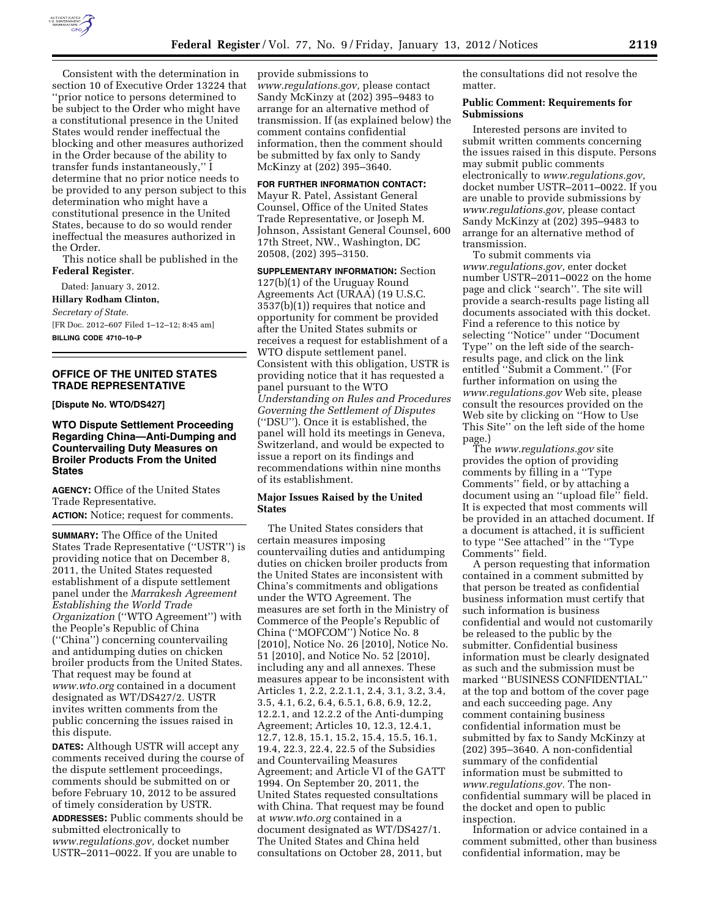

Consistent with the determination in section 10 of Executive Order 13224 that ''prior notice to persons determined to be subject to the Order who might have a constitutional presence in the United States would render ineffectual the blocking and other measures authorized in the Order because of the ability to transfer funds instantaneously,'' I determine that no prior notice needs to be provided to any person subject to this determination who might have a constitutional presence in the United States, because to do so would render ineffectual the measures authorized in the Order.

This notice shall be published in the **Federal Register**.

Dated: January 3, 2012. **Hillary Rodham Clinton,**  *Secretary of State.*  [FR Doc. 2012–607 Filed 1–12–12; 8:45 am] **BILLING CODE 4710–10–P** 

# **OFFICE OF THE UNITED STATES TRADE REPRESENTATIVE**

**[Dispute No. WTO/DS427]** 

**WTO Dispute Settlement Proceeding Regarding China—Anti-Dumping and Countervailing Duty Measures on Broiler Products From the United States** 

**AGENCY:** Office of the United States Trade Representative.

**ACTION:** Notice; request for comments.

**SUMMARY:** The Office of the United States Trade Representative (''USTR'') is providing notice that on December 8, 2011, the United States requested establishment of a dispute settlement panel under the *Marrakesh Agreement Establishing the World Trade Organization* (''WTO Agreement'') with the People's Republic of China (''China'') concerning countervailing and antidumping duties on chicken broiler products from the United States. That request may be found at *[www.wto.org](http://www.wto.org)* contained in a document designated as WT/DS427/2. USTR invites written comments from the public concerning the issues raised in this dispute.

**DATES:** Although USTR will accept any comments received during the course of the dispute settlement proceedings, comments should be submitted on or before February 10, 2012 to be assured of timely consideration by USTR.

**ADDRESSES:** Public comments should be submitted electronically to *[www.regulations.gov,](http://www.regulations.gov)* docket number USTR–2011–0022. If you are unable to

provide submissions to *[www.regulations.gov,](http://www.regulations.gov)* please contact Sandy McKinzy at (202) 395–9483 to arrange for an alternative method of transmission. If (as explained below) the comment contains confidential information, then the comment should be submitted by fax only to Sandy McKinzy at (202) 395–3640.

**FOR FURTHER INFORMATION CONTACT:**  Mayur R. Patel, Assistant General Counsel, Office of the United States Trade Representative, or Joseph M. Johnson, Assistant General Counsel, 600 17th Street, NW., Washington, DC 20508, (202) 395–3150.

**SUPPLEMENTARY INFORMATION:** Section 127(b)(1) of the Uruguay Round Agreements Act (URAA) (19 U.S.C. 3537(b)(1)) requires that notice and opportunity for comment be provided after the United States submits or receives a request for establishment of a WTO dispute settlement panel. Consistent with this obligation, USTR is providing notice that it has requested a panel pursuant to the WTO *Understanding on Rules and Procedures Governing the Settlement of Disputes*  (''DSU''). Once it is established, the panel will hold its meetings in Geneva, Switzerland, and would be expected to issue a report on its findings and recommendations within nine months of its establishment.

## **Major Issues Raised by the United States**

The United States considers that certain measures imposing countervailing duties and antidumping duties on chicken broiler products from the United States are inconsistent with China's commitments and obligations under the WTO Agreement. The measures are set forth in the Ministry of Commerce of the People's Republic of China (''MOFCOM'') Notice No. 8 [2010], Notice No. 26 [2010], Notice No. 51 [2010], and Notice No. 52 [2010], including any and all annexes. These measures appear to be inconsistent with Articles 1, 2.2, 2.2.1.1, 2.4, 3.1, 3.2, 3.4, 3.5, 4.1, 6.2, 6.4, 6.5.1, 6.8, 6.9, 12.2, 12.2.1, and 12.2.2 of the Anti-dumping Agreement; Articles 10, 12.3, 12.4.1, 12.7, 12.8, 15.1, 15.2, 15.4, 15.5, 16.1, 19.4, 22.3, 22.4, 22.5 of the Subsidies and Countervailing Measures Agreement; and Article VI of the GATT 1994. On September 20, 2011, the United States requested consultations with China. That request may be found at *[www.wto.org](http://www.wto.org)* contained in a document designated as WT/DS427/1. The United States and China held consultations on October 28, 2011, but

the consultations did not resolve the matter.

### **Public Comment: Requirements for Submissions**

Interested persons are invited to submit written comments concerning the issues raised in this dispute. Persons may submit public comments electronically to *[www.regulations.gov,](http://www.regulations.gov)*  docket number USTR–2011–0022. If you are unable to provide submissions by *[www.regulations.gov,](http://www.regulations.gov)* please contact Sandy McKinzy at (202) 395–9483 to arrange for an alternative method of transmission.

To submit comments via *[www.regulations.gov,](http://www.regulations.gov)* enter docket number USTR–2011–0022 on the home page and click ''search''. The site will provide a search-results page listing all documents associated with this docket. Find a reference to this notice by selecting ''Notice'' under ''Document Type'' on the left side of the searchresults page, and click on the link entitled ''Submit a Comment.'' (For further information on using the *[www.regulations.gov](http://www.regulations.gov)* Web site, please consult the resources provided on the Web site by clicking on ''How to Use This Site'' on the left side of the home page.)

The *[www.regulations.gov](http://www.regulations.gov)* site provides the option of providing comments by filling in a ''Type Comments'' field, or by attaching a document using an ''upload file'' field. It is expected that most comments will be provided in an attached document. If a document is attached, it is sufficient to type ''See attached'' in the ''Type Comments'' field.

A person requesting that information contained in a comment submitted by that person be treated as confidential business information must certify that such information is business confidential and would not customarily be released to the public by the submitter. Confidential business information must be clearly designated as such and the submission must be marked ''BUSINESS CONFIDENTIAL'' at the top and bottom of the cover page and each succeeding page. Any comment containing business confidential information must be submitted by fax to Sandy McKinzy at (202) 395–3640. A non-confidential summary of the confidential information must be submitted to *[www.regulations.gov.](http://www.regulations.gov)* The nonconfidential summary will be placed in the docket and open to public inspection.

Information or advice contained in a comment submitted, other than business confidential information, may be